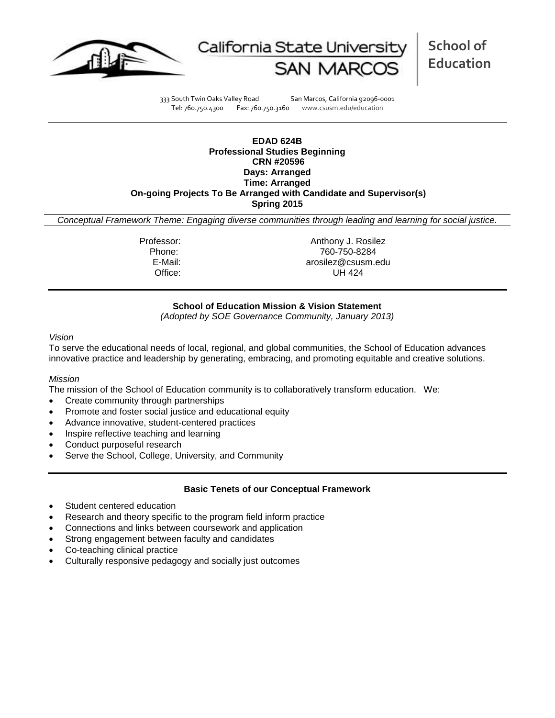



**School of Education**

333 South Twin Oaks Valley Road San Marcos, California 92096-0001 Tel: 760.750.4300 Fax: 760.750.3160 www.csusm.edu/education

**EDAD 624B Professional Studies Beginning CRN #20596 Days: Arranged Time: Arranged On-going Projects To Be Arranged with Candidate and Supervisor(s) Spring 2015**

*Conceptual Framework Theme: Engaging diverse communities through leading and learning for social justice.*

Professor: Anthony J. Rosilez Phone: 760-750-8284 E-Mail: arosilez@csusm.edu Office: UH 424

## **School of Education Mission & Vision Statement**

*(Adopted by SOE Governance Community, January 2013)*

#### *Vision*

To serve the educational needs of local, regional, and global communities, the School of Education advances innovative practice and leadership by generating, embracing, and promoting equitable and creative solutions.

#### *Mission*

The mission of the School of Education community is to collaboratively transform education. We:

- Create community through partnerships
- Promote and foster social justice and educational equity
- Advance innovative, student-centered practices
- Inspire reflective teaching and learning
- Conduct purposeful research
- Serve the School, College, University, and Community

#### **Basic Tenets of our Conceptual Framework**

- Student centered education
- Research and theory specific to the program field inform practice
- Connections and links between coursework and application
- Strong engagement between faculty and candidates
- Co-teaching clinical practice
- Culturally responsive pedagogy and socially just outcomes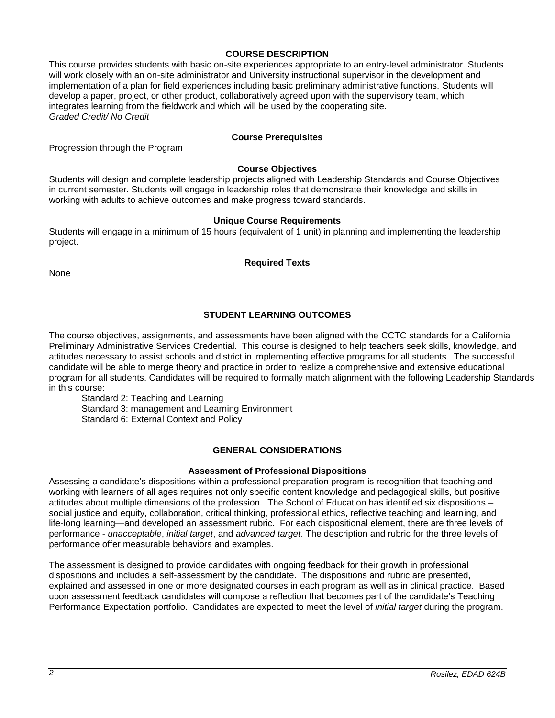#### **COURSE DESCRIPTION**

This course provides students with basic on-site experiences appropriate to an entry-level administrator. Students will work closely with an on-site administrator and University instructional supervisor in the development and implementation of a plan for field experiences including basic preliminary administrative functions. Students will develop a paper, project, or other product, collaboratively agreed upon with the supervisory team, which integrates learning from the fieldwork and which will be used by the cooperating site. *Graded Credit/ No Credit*

### **Course Prerequisites**

Progression through the Program

### **Course Objectives**

Students will design and complete leadership projects aligned with Leadership Standards and Course Objectives in current semester. Students will engage in leadership roles that demonstrate their knowledge and skills in working with adults to achieve outcomes and make progress toward standards.

## **Unique Course Requirements**

Students will engage in a minimum of 15 hours (equivalent of 1 unit) in planning and implementing the leadership project.

**Required Texts**

**None** 

# **STUDENT LEARNING OUTCOMES**

The course objectives, assignments, and assessments have been aligned with the CCTC standards for a California Preliminary Administrative Services Credential. This course is designed to help teachers seek skills, knowledge, and attitudes necessary to assist schools and district in implementing effective programs for all students. The successful candidate will be able to merge theory and practice in order to realize a comprehensive and extensive educational program for all students. Candidates will be required to formally match alignment with the following Leadership Standards in this course:

Standard 2: Teaching and Learning Standard 3: management and Learning Environment Standard 6: External Context and Policy

#### **GENERAL CONSIDERATIONS**

#### **Assessment of Professional Dispositions**

Assessing a candidate's dispositions within a professional preparation program is recognition that teaching and working with learners of all ages requires not only specific content knowledge and pedagogical skills, but positive attitudes about multiple dimensions of the profession. The School of Education has identified six dispositions – social justice and equity, collaboration, critical thinking, professional ethics, reflective teaching and learning, and life-long learning—and developed an assessment rubric. For each dispositional element, there are three levels of performance - *unacceptable*, *initial target*, and *advanced target*. The description and rubric for the three levels of performance offer measurable behaviors and examples.

The assessment is designed to provide candidates with ongoing feedback for their growth in professional dispositions and includes a self-assessment by the candidate. The dispositions and rubric are presented, explained and assessed in one or more designated courses in each program as well as in clinical practice. Based upon assessment feedback candidates will compose a reflection that becomes part of the candidate's Teaching Performance Expectation portfolio. Candidates are expected to meet the level of *initial target* during the program.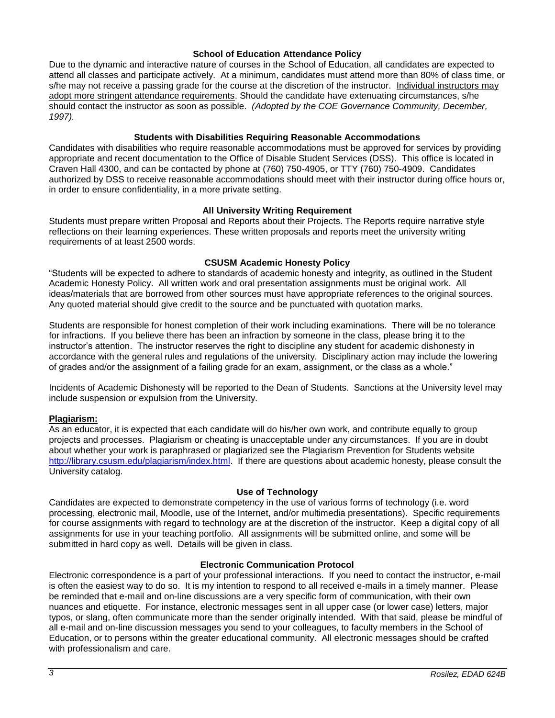#### **School of Education Attendance Policy**

Due to the dynamic and interactive nature of courses in the School of Education, all candidates are expected to attend all classes and participate actively. At a minimum, candidates must attend more than 80% of class time, or s/he may not receive a passing grade for the course at the discretion of the instructor. Individual instructors may adopt more stringent attendance requirements. Should the candidate have extenuating circumstances, s/he should contact the instructor as soon as possible. *(Adopted by the COE Governance Community, December, 1997).*

#### **Students with Disabilities Requiring Reasonable Accommodations**

Candidates with disabilities who require reasonable accommodations must be approved for services by providing appropriate and recent documentation to the Office of Disable Student Services (DSS). This office is located in Craven Hall 4300, and can be contacted by phone at (760) 750-4905, or TTY (760) 750-4909. Candidates authorized by DSS to receive reasonable accommodations should meet with their instructor during office hours or, in order to ensure confidentiality, in a more private setting.

#### **All University Writing Requirement**

Students must prepare written Proposal and Reports about their Projects. The Reports require narrative style reflections on their learning experiences. These written proposals and reports meet the university writing requirements of at least 2500 words.

#### **CSUSM Academic Honesty Policy**

"Students will be expected to adhere to standards of academic honesty and integrity, as outlined in the Student Academic Honesty Policy. All written work and oral presentation assignments must be original work. All ideas/materials that are borrowed from other sources must have appropriate references to the original sources. Any quoted material should give credit to the source and be punctuated with quotation marks.

Students are responsible for honest completion of their work including examinations. There will be no tolerance for infractions. If you believe there has been an infraction by someone in the class, please bring it to the instructor's attention. The instructor reserves the right to discipline any student for academic dishonesty in accordance with the general rules and regulations of the university. Disciplinary action may include the lowering of grades and/or the assignment of a failing grade for an exam, assignment, or the class as a whole."

Incidents of Academic Dishonesty will be reported to the Dean of Students. Sanctions at the University level may include suspension or expulsion from the University.

#### **Plagiarism:**

As an educator, it is expected that each candidate will do his/her own work, and contribute equally to group projects and processes. Plagiarism or cheating is unacceptable under any circumstances. If you are in doubt about whether your work is paraphrased or plagiarized see the Plagiarism Prevention for Students website [http://library.csusm.edu/plagiarism/index.html.](http://library.csusm.edu/plagiarism/index.html) If there are questions about academic honesty, please consult the University catalog.

#### **Use of Technology**

Candidates are expected to demonstrate competency in the use of various forms of technology (i.e. word processing, electronic mail, Moodle, use of the Internet, and/or multimedia presentations). Specific requirements for course assignments with regard to technology are at the discretion of the instructor. Keep a digital copy of all assignments for use in your teaching portfolio. All assignments will be submitted online, and some will be submitted in hard copy as well. Details will be given in class.

#### **Electronic Communication Protocol**

Electronic correspondence is a part of your professional interactions. If you need to contact the instructor, e-mail is often the easiest way to do so. It is my intention to respond to all received e-mails in a timely manner. Please be reminded that e-mail and on-line discussions are a very specific form of communication, with their own nuances and etiquette. For instance, electronic messages sent in all upper case (or lower case) letters, major typos, or slang, often communicate more than the sender originally intended. With that said, please be mindful of all e-mail and on-line discussion messages you send to your colleagues, to faculty members in the School of Education, or to persons within the greater educational community. All electronic messages should be crafted with professionalism and care.